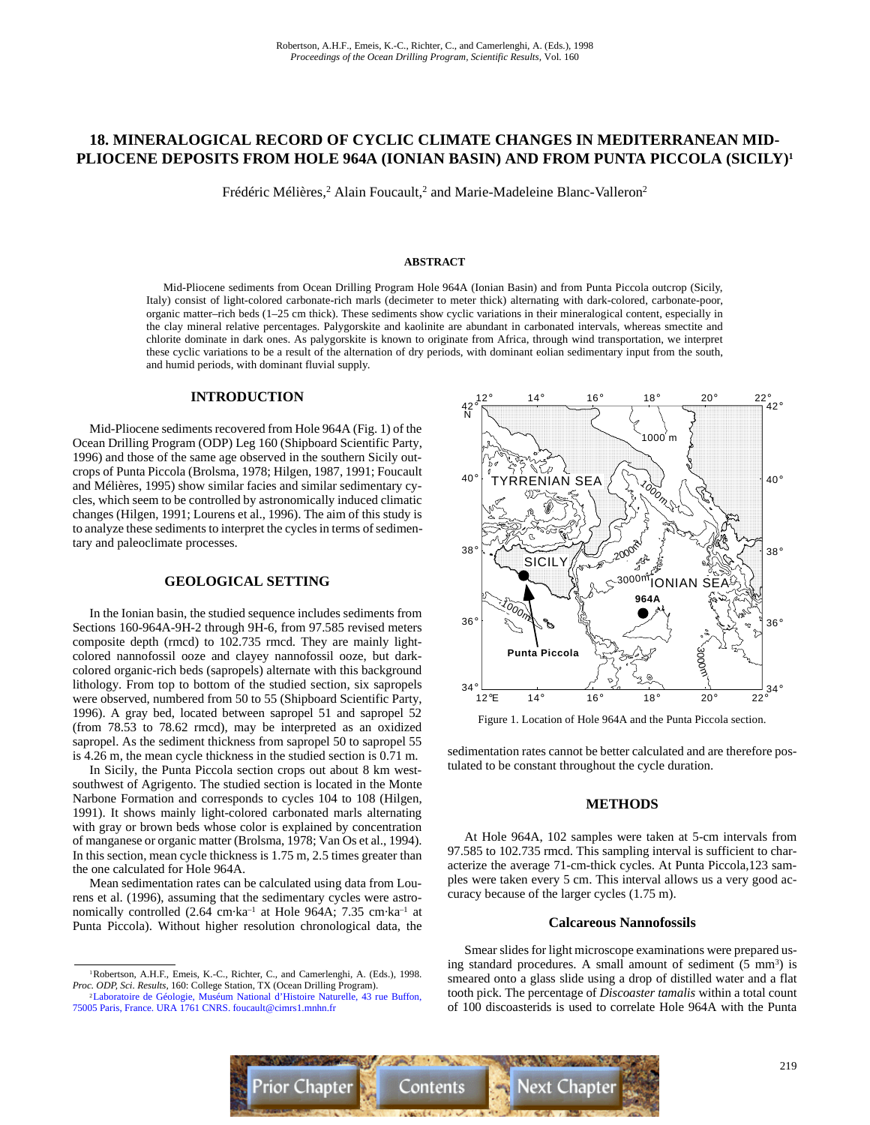# **18. MINERALOGICAL RECORD OF CYCLIC CLIMATE CHANGES IN MEDITERRANEAN MID-PLIOCENE DEPOSITS FROM HOLE 964A (IONIAN BASIN) AND FROM PUNTA PICCOLA (SICILY)1**

Frédéric Mélières,<sup>2</sup> Alain Foucault,<sup>2</sup> and Marie-Madeleine Blanc-Valleron<sup>2</sup>

#### **ABSTRACT**

Mid-Pliocene sediments from Ocean Drilling Program Hole 964A (Ionian Basin) and from Punta Piccola outcrop (Sicily, Italy) consist of light-colored carbonate-rich marls (decimeter to meter thick) alternating with dark-colored, carbonate-poor, organic matter–rich beds (1–25 cm thick). These sediments show cyclic variations in their mineralogical content, especially in the clay mineral relative percentages. Palygorskite and kaolinite are abundant in carbonated intervals, whereas smectite and chlorite dominate in dark ones. As palygorskite is known to originate from Africa, through wind transportation, we interpret these cyclic variations to be a result of the alternation of dry periods, with dominant eolian sedimentary input from the south, and humid periods, with dominant fluvial supply.

# **INTRODUCTION**

Mid-Pliocene sediments recovered from Hole 964A (Fig. 1) of the Ocean Drilling Program (ODP) Leg 160 (Shipboard Scientific Party, 1996) and those of the same age observed in the southern Sicily outcrops of Punta Piccola (Brolsma, 1978; Hilgen, 1987, 1991; Foucault and Mélières, 1995) show similar facies and similar sedimentary cycles, which seem to be controlled by astronomically induced climatic changes (Hilgen, 1991; Lourens et al., 1996). The aim of this study is to analyze these sediments to interpret the cycles in terms of sedimentary and paleoclimate processes.

#### **GEOLOGICAL SETTING**

In the Ionian basin, the studied sequence includes sediments from Sections 160-964A-9H-2 through 9H-6, from 97.585 revised meters composite depth (rmcd) to 102.735 rmcd. They are mainly lightcolored nannofossil ooze and clayey nannofossil ooze, but darkcolored organic-rich beds (sapropels) alternate with this background lithology. From top to bottom of the studied section, six sapropels were observed, numbered from 50 to 55 (Shipboard Scientific Party, 1996). A gray bed, located between sapropel 51 and sapropel 52 (from 78.53 to 78.62 rmcd), may be interpreted as an oxidized sapropel. As the sediment thickness from sapropel 50 to sapropel 55 is 4.26 m, the mean cycle thickness in the studied section is 0.71 m.

In Sicily, the Punta Piccola section crops out about 8 km westsouthwest of Agrigento. The studied section is located in the Monte Narbone Formation and corresponds to cycles 104 to 108 (Hilgen, 1991). It shows mainly light-colored carbonated marls alternating with gray or brown beds whose color is explained by concentration of manganese or organic matter (Brolsma, 1978; Van Os et al., 1994). In this section, mean cycle thickness is 1.75 m, 2.5 times greater than the one calculated for Hole 964A.

Mean sedimentation rates can be calculated using data from Lourens et al. (1996), assuming that the sedimentary cycles were astronomically controlled (2.64 cm·ka–1 at Hole 964A; 7.35 cm·ka–1 at Punta Piccola). Without higher resolution chronological data, the



Figure 1. Location of Hole 964A and the Punta Piccola section.

sedimentation rates cannot be better calculated and are therefore postulated to be constant throughout the cycle duration.

#### **METHODS**

At Hole 964A, 102 samples were taken at 5-cm intervals from 97.585 to 102.735 rmcd. This sampling interval is sufficient to characterize the average 71-cm-thick cycles. At Punta Piccola,123 samples were taken every 5 cm. This interval allows us a very good accuracy because of the larger cycles (1.75 m).

#### **Calcareous Nannofossils**

Smear slides for light microscope examinations were prepared using standard procedures. A small amount of sediment  $(5 \text{ mm}^3)$  is smeared onto a glass slide using a drop of distilled water and a flat tooth pick. The percentage of *Discoaster tamalis* within a total count of 100 discoasterids is used to correlate Hole 964A with the Punta



<sup>1</sup>Robertson, A.H.F., Emeis, K.-C., Richter, C., and Camerlenghi, A. (Eds.), 1998. *Proc. ODP, Sci. Results,* 160: College Station, TX (Ocean Drilling Program).

[<sup>2</sup>Laboratoire de Géologie, Muséum National d'Histoire Naturelle, 43 rue Buffon,](mailto:foucault@cimrs1.mnhn.fr) 75005 Paris, France. URA 1761 CNRS. foucault@cimrs1.mnhn.fr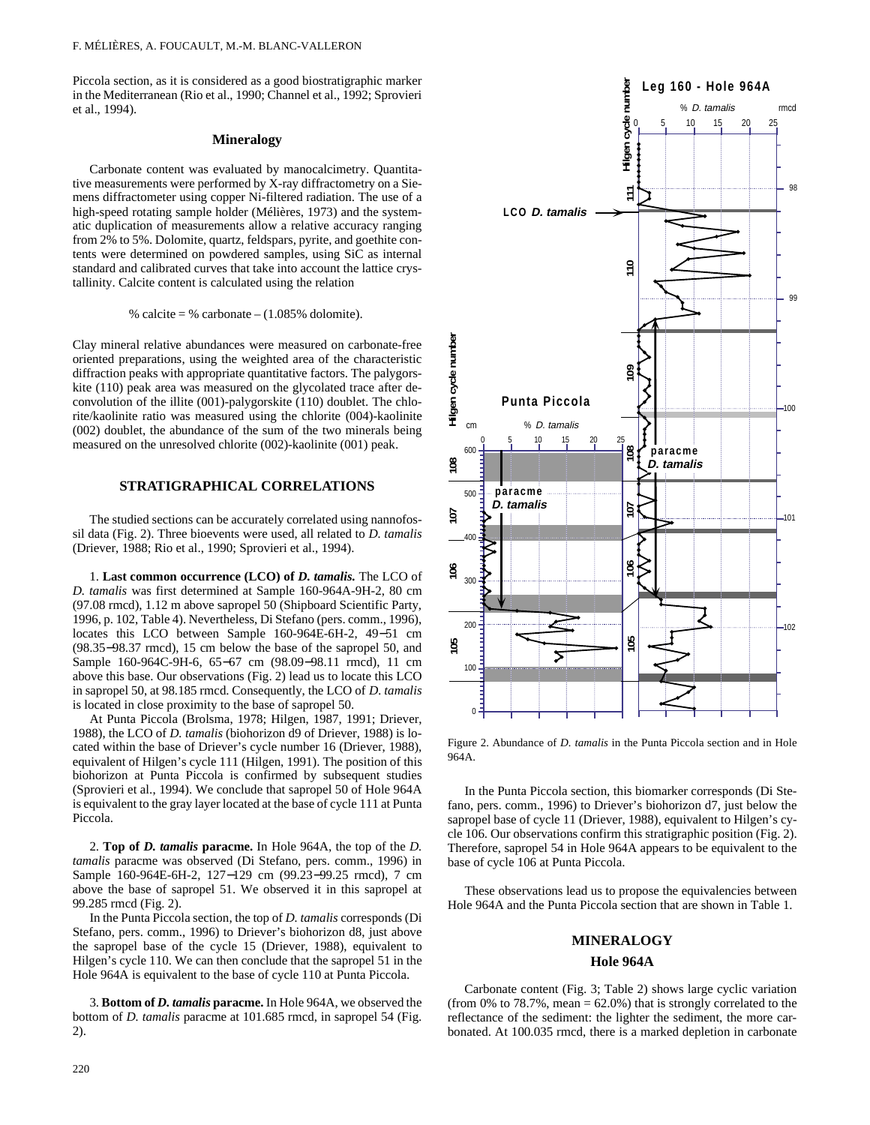Piccola section, as it is considered as a good biostratigraphic marker in the Mediterranean (Rio et al., 1990; Channel et al., 1992; Sprovieri et al., 1994).

## **Mineralogy**

Carbonate content was evaluated by manocalcimetry. Quantitative measurements were performed by X-ray diffractometry on a Siemens diffractometer using copper Ni-filtered radiation. The use of a high-speed rotating sample holder (Mélières, 1973) and the systematic duplication of measurements allow a relative accuracy ranging from 2% to 5%. Dolomite, quartz, feldspars, pyrite, and goethite contents were determined on powdered samples, using SiC as internal standard and calibrated curves that take into account the lattice crystallinity. Calcite content is calculated using the relation

% calcite = % carbonate  $- (1.085\% \text{ dolomite}).$ 

Clay mineral relative abundances were measured on carbonate-free oriented preparations, using the weighted area of the characteristic diffraction peaks with appropriate quantitative factors. The palygorskite (110) peak area was measured on the glycolated trace after deconvolution of the illite (001)-palygorskite (110) doublet. The chlorite/kaolinite ratio was measured using the chlorite (004)-kaolinite (002) doublet, the abundance of the sum of the two minerals being measured on the unresolved chlorite (002)-kaolinite (001) peak.

#### **STRATIGRAPHICAL CORRELATIONS**

The studied sections can be accurately correlated using nannofossil data (Fig. 2). Three bioevents were used, all related to *D. tamalis* (Driever, 1988; Rio et al., 1990; Sprovieri et al., 1994).

1. **Last common occurrence (LCO) of** *D. tamalis.* The LCO of *D. tamalis* was first determined at Sample 160-964A-9H-2, 80 cm (97.08 rmcd), 1.12 m above sapropel 50 (Shipboard Scientific Party, 1996, p. 102, Table 4). Nevertheless, Di Stefano (pers. comm., 1996), locates this LCO between Sample 160-964E-6H-2, 49−51 cm (98.35−98.37 rmcd), 15 cm below the base of the sapropel 50, and Sample 160-964C-9H-6, 65−67 cm (98.09−98.11 rmcd), 11 cm above this base. Our observations (Fig. 2) lead us to locate this LCO in sapropel 50, at 98.185 rmcd. Consequently, the LCO of *D. tamalis* is located in close proximity to the base of sapropel 50.

At Punta Piccola (Brolsma, 1978; Hilgen, 1987, 1991; Driever, 1988), the LCO of *D. tamalis* (biohorizon d9 of Driever, 1988) is located within the base of Driever's cycle number 16 (Driever, 1988), equivalent of Hilgen's cycle 111 (Hilgen, 1991). The position of this biohorizon at Punta Piccola is confirmed by subsequent studies (Sprovieri et al., 1994). We conclude that sapropel 50 of Hole 964A is equivalent to the gray layer located at the base of cycle 111 at Punta Piccola.

2. **Top of** *D. tamalis* **paracme.** In Hole 964A, the top of the *D. tamalis* paracme was observed (Di Stefano, pers. comm., 1996) in Sample 160-964E-6H-2, 127−129 cm (99.23−99.25 rmcd), 7 cm above the base of sapropel 51. We observed it in this sapropel at 99.285 rmcd (Fig. 2).

In the Punta Piccola section, the top of *D. tamalis* corresponds (Di Stefano, pers. comm., 1996) to Driever's biohorizon d8, just above the sapropel base of the cycle 15 (Driever, 1988), equivalent to Hilgen's cycle 110. We can then conclude that the sapropel 51 in the Hole 964A is equivalent to the base of cycle 110 at Punta Piccola.

3. **Bottom of** *D. tamalis* **paracme.** In Hole 964A, we observed the bottom of *D. tamalis* paracme at 101.685 rmcd, in sapropel 54 (Fig. 2).



Figure 2. Abundance of *D. tamalis* in the Punta Piccola section and in Hole 964A.

In the Punta Piccola section, this biomarker corresponds (Di Stefano, pers. comm., 1996) to Driever's biohorizon d7, just below the sapropel base of cycle 11 (Driever, 1988), equivalent to Hilgen's cycle 106. Our observations confirm this stratigraphic position (Fig. 2). Therefore, sapropel 54 in Hole 964A appears to be equivalent to the base of cycle 106 at Punta Piccola.

These observations lead us to propose the equivalencies between Hole 964A and the Punta Piccola section that are shown in Table 1.

#### **MINERALOGY**

#### **Hole 964A**

Carbonate content (Fig. 3; Table 2) shows large cyclic variation (from 0% to 78.7%, mean  $= 62.0\%$ ) that is strongly correlated to the reflectance of the sediment: the lighter the sediment, the more carbonated. At 100.035 rmcd, there is a marked depletion in carbonate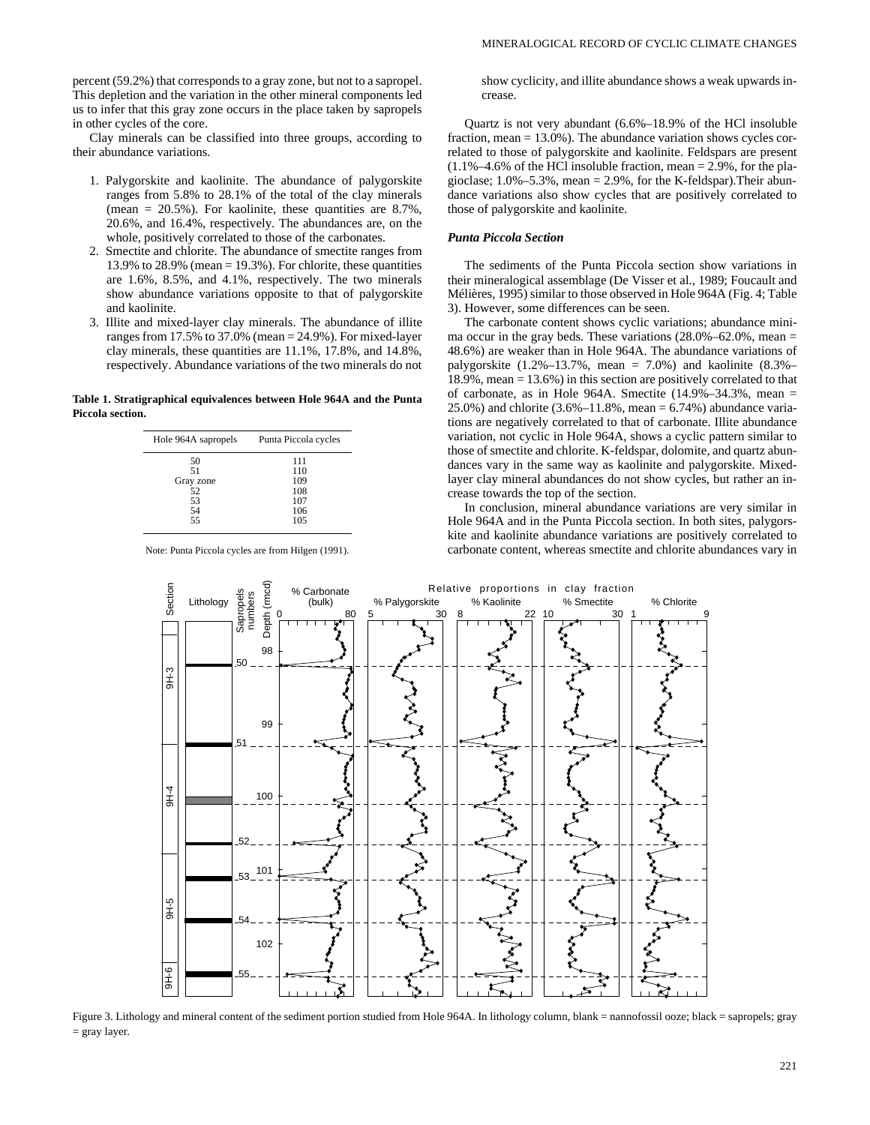percent (59.2%) that corresponds to a gray zone, but not to a sapropel. This depletion and the variation in the other mineral components led us to infer that this gray zone occurs in the place taken by sapropels in other cycles of the core.

Clay minerals can be classified into three groups, according to their abundance variations.

- 1. Palygorskite and kaolinite. The abundance of palygorskite ranges from 5.8% to 28.1% of the total of the clay minerals (mean =  $20.5\%$ ). For kaolinite, these quantities are 8.7%, 20.6%, and 16.4%, respectively. The abundances are, on the whole, positively correlated to those of the carbonates.
- 2. Smectite and chlorite. The abundance of smectite ranges from 13.9% to  $28.9\%$  (mean = 19.3%). For chlorite, these quantities are 1.6%, 8.5%, and 4.1%, respectively. The two minerals show abundance variations opposite to that of palygorskite and kaolinite.
- 3. Illite and mixed-layer clay minerals. The abundance of illite ranges from 17.5% to 37.0% (mean = 24.9%). For mixed-layer clay minerals, these quantities are 11.1%, 17.8%, and 14.8%, respectively. Abundance variations of the two minerals do not

**Table 1. Stratigraphical equivalences between Hole 964A and the Punta Piccola section.**

| Hole 964A sapropels | Punta Piccola cycles |
|---------------------|----------------------|
| 50                  | 111                  |
| 51                  | 110                  |
| Gray zone           | 109                  |
| 52                  | 108                  |
| 53                  | 107                  |
| 54                  | 106                  |
| 55                  | 105                  |

Note: Punta Piccola cycles are from Hilgen (1991).

show cyclicity, and illite abundance shows a weak upwards increase.

Quartz is not very abundant (6.6%–18.9% of the HCl insoluble fraction, mean = 13.0%). The abundance variation shows cycles correlated to those of palygorskite and kaolinite. Feldspars are present  $(1.1\% - 4.6\% )$  of the HCl insoluble fraction, mean = 2.9%, for the plagioclase;  $1.0\% - 5.3\%$ , mean = 2.9%, for the K-feldspar). Their abundance variations also show cycles that are positively correlated to those of palygorskite and kaolinite.

#### *Punta Piccola Section*

The sediments of the Punta Piccola section show variations in their mineralogical assemblage (De Visser et al., 1989; Foucault and Mélières, 1995) similar to those observed in Hole 964A (Fig. 4; Table 3). However, some differences can be seen.

The carbonate content shows cyclic variations; abundance minima occur in the gray beds. These variations  $(28.0\% - 62.0\%$ , mean = 48.6%) are weaker than in Hole 964A. The abundance variations of palygorskite  $(1.2\% - 13.7\%$ , mean = 7.0%) and kaolinite  $(8.3\% -$ 18.9%, mean = 13.6%) in this section are positively correlated to that of carbonate, as in Hole 964A. Smectite  $(14.9\% - 34.3\%$ , mean = 25.0%) and chlorite  $(3.6\% -11.8\% , \text{mean} = 6.74\%)$  abundance variations are negatively correlated to that of carbonate. Illite abundance variation, not cyclic in Hole 964A, shows a cyclic pattern similar to those of smectite and chlorite. K-feldspar, dolomite, and quartz abundances vary in the same way as kaolinite and palygorskite. Mixedlayer clay mineral abundances do not show cycles, but rather an increase towards the top of the section.

In conclusion, mineral abundance variations are very similar in Hole 964A and in the Punta Piccola section. In both sites, palygorskite and kaolinite abundance variations are positively correlated to carbonate content, whereas smectite and chlorite abundances vary in



Figure 3. Lithology and mineral content of the sediment portion studied from Hole 964A. In lithology column, blank = nannofossil ooze; black = sapropels; gray = gray layer.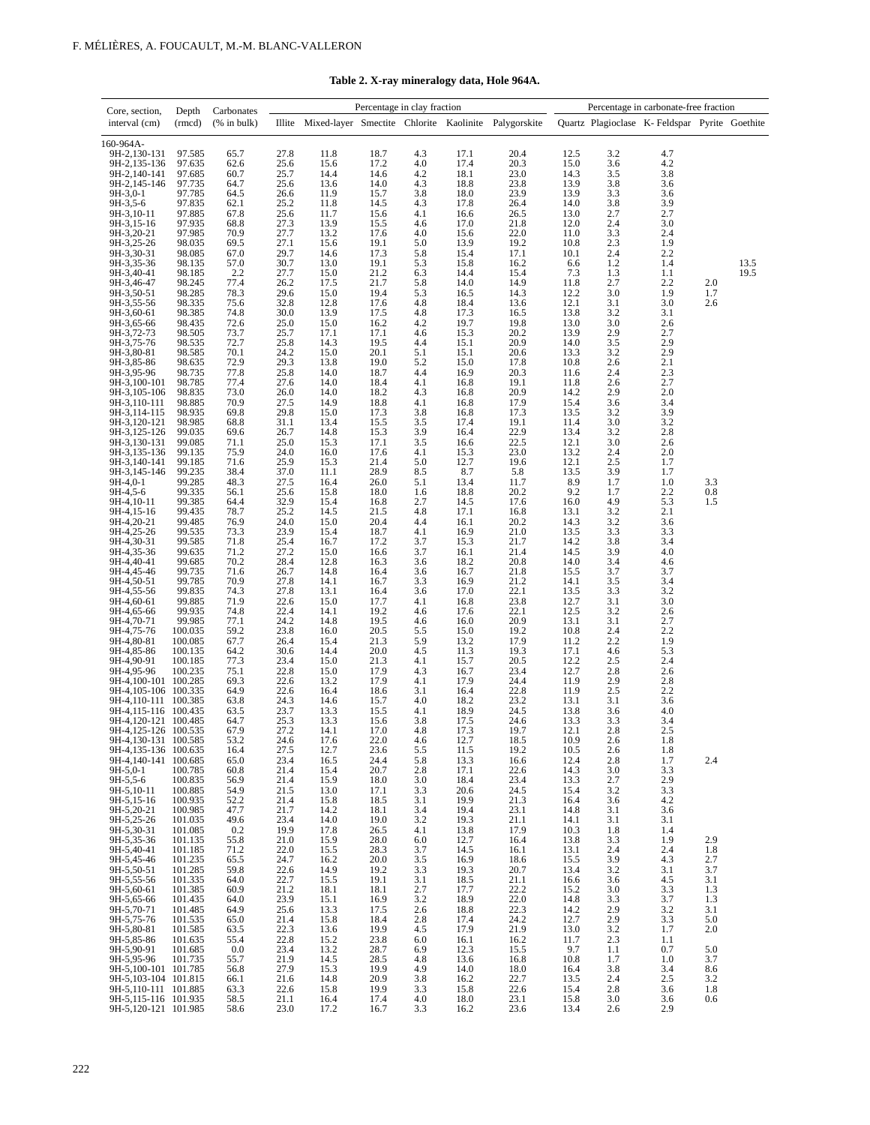| Core, section,                               | Depth              | Carbonates       |                  |                                                             | Percentage in clay fraction |                |              |                                             |              |                                        | Percentage in carbonate-free fraction         |            |              |
|----------------------------------------------|--------------------|------------------|------------------|-------------------------------------------------------------|-----------------------------|----------------|--------------|---------------------------------------------|--------------|----------------------------------------|-----------------------------------------------|------------|--------------|
| interval (cm)                                | (rmcd)             | $(%$ (% in bulk) |                  | Illite Mixed-layer Smectite Chlorite Kaolinite Palygorskite |                             |                |              |                                             |              |                                        | Quartz Plagioclase K-Feldspar Pyrite Goethite |            |              |
|                                              |                    |                  |                  |                                                             |                             |                |              |                                             |              |                                        |                                               |            |              |
| 160-964A-<br>9H-2,130-131                    | 97.585             | 65.7             | 27.8             | 11.8                                                        | 18.7                        | 4.3            | 17.1         | 20.4                                        | 12.5         |                                        | 4.7                                           |            |              |
| 9H-2,135-136                                 | 97.635             | 62.6             | 25.6             | 15.6                                                        | 17.2                        | 4.0            | 17.4         | 20.3                                        | 15.0         | $3.2$<br>$3.6$                         | 4.2                                           |            |              |
| 9H-2,140-141                                 | 97.685             | 60.7             | 25.7             | 14.4                                                        | 14.6                        | 4.2            | 18.1         | $\begin{array}{c} 23.0 \\ 23.8 \end{array}$ | 14.3         | $\frac{3.5}{3.8}$                      | 3.8                                           |            |              |
| 9H-2,145-146<br>9H-3,0-1                     | 97.735<br>97.785   | 64.7<br>64.5     | 25.6<br>26.6     | 13.6<br>11.9                                                | 14.0<br>15.7                | 4.3<br>3.8     | 18.8<br>18.0 | 23.9                                        | 13.9<br>13.9 | 3.3                                    | 3.6<br>3.6                                    |            |              |
| 9H-3,5-6                                     | 97.835             | 62.1             | 25.2             | 11.8                                                        | 14.5                        | 4.3            | 17.8         | 26.4                                        | 14.0         |                                        |                                               |            |              |
| 9H-3,10-11                                   | 97.885             | 67.8             | 25.6             | 11.7                                                        | 15.6                        | 4.1            | 16.6         | 26.5                                        | 13.0         | $\frac{3.8}{2.7}$                      | $3.9$<br>$2.7$                                |            |              |
| 9H-3,15-16<br>9H-3,20-21                     | 97.935<br>97.985   | 68.8<br>70.9     | 27.3<br>27.7     | 13.9<br>13.2                                                | 15.5<br>17.6                | 4.6<br>4.0     | 17.0<br>15.6 | 21.8<br>22.0                                | 12.0<br>11.0 | 2.4                                    | 3.0<br>2.4                                    |            |              |
| 9H-3,25-26                                   | 98.035             | 69.5             | 27.1             | 15.6                                                        | 19.1                        | 5.0            | 13.9         | 19.2                                        | 10.8         | $3.3$<br>$2.3$                         | 1.9                                           |            |              |
| 9H-3,30-31                                   | 98.085             | 67.0             | 29.7             | 14.6                                                        | 17.3                        | 5.8            | 15.4         | 17.1                                        | 10.1         | 2.4                                    | 2.2                                           |            |              |
| 9H-3,35-36<br>9H-3,40-41                     | 98.135<br>98.185   | 57.0<br>2.2      | 30.7<br>27.7     | 13.0<br>15.0                                                | 19.1<br>21.2                | 5.3<br>6.3     | 15.8<br>14.4 | 16.2<br>15.4                                | 6.6<br>7.3   | $\frac{1.2}{1.3}$                      | 1.4<br>1.1                                    |            | 13.5<br>19.5 |
| 9H-3,46-47                                   | 98.245             | 77.4             | 26.2             | 17.5                                                        | 21.7                        | 5.8            | 14.0         | 14.9                                        | 11.8         | 2.7                                    | 2.2                                           | 2.0        |              |
| 9H-3,50-51                                   | 98.285             | 78.3             | 29.6             | 15.0                                                        | 19.4                        | 5.3            | 16.5         | 14.3                                        | 12.2         | 3.0                                    | 1.9                                           | 1.7        |              |
| 9H-3,55-56<br>9H-3,60-61                     | 98.335<br>98.385   | 75.6<br>74.8     | 32.8<br>30.0     | 12.8<br>13.9                                                | 17.6<br>17.5                | 4.8<br>4.8     | 18.4<br>17.3 | 13.6<br>16.5                                | 12.1<br>13.8 | 3.1<br>3.2                             | 3.0<br>3.1                                    | 2.6        |              |
| 9H-3,65-66                                   | 98.435             | 72.6             | 25.0             | 15.0                                                        | 16.2                        | 4.2            | 19.7         | 19.8                                        | 13.0         | 3.0                                    | 2.6                                           |            |              |
| 9H-3,72-73                                   | 98.505             | 73.7             | 25.7             | 17.1                                                        | 17.1                        | 4.6            | 15.3         | 20.2                                        | 13.9         | 2.9                                    | 2.7                                           |            |              |
| 9H-3,75-76<br>9H-3,80-81                     | 98.535<br>98.585   | 72.7<br>70.1     | 25.8<br>24.2     | 14.3<br>15.0                                                | 19.5<br>20.1                | 4.4<br>5.1     | 15.1<br>15.1 | 20.9<br>20.6                                | 14.0<br>13.3 | $3.\overline{5}$                       | 2.9                                           |            |              |
| 9H-3,85-86                                   | 98.635             | 72.9             | 29.3             | 13.8                                                        | 19.0                        | 5.2            | 15.0         | 17.8                                        | 10.8         | $\frac{3.2}{2.6}$                      | $^{2.9}_{2.1}$                                |            |              |
| 9H-3,95-96                                   | 98.735             | 77.8             | 25.8             | 14.0                                                        | 18.7                        | 4.4            | 16.9         | 20.3                                        | 11.6         | 2.4                                    | $\frac{2.3}{2.7}$                             |            |              |
| 9H-3,100-101<br>9H-3,105-106                 | 98.785<br>98.835   | 77.4<br>73.0     | 27.6<br>26.0     | 14.0<br>14.0                                                | 18.4<br>18.2                | 4.1<br>4.3     | 16.8<br>16.8 | 19.1<br>20.9                                | 11.8<br>14.2 | 2.6<br>2.9                             | 2.0                                           |            |              |
| 9H-3,110-111                                 | 98.885             | 70.9             | 27.5             | 14.9                                                        | 18.8                        | 4.1            | 16.8         | 17.9                                        | 15.4         |                                        | 3.4                                           |            |              |
| 9H-3,114-115                                 | 98.935             | 69.8             | 29.8             | 15.0                                                        | 17.3                        | $3.8$<br>$3.5$ | 16.8         | 17.3                                        | 13.5         | $3.6$<br>$3.2$<br>$3.0$                | $3.9$<br>$3.2$                                |            |              |
| 9H-3,120-121                                 | 98.985<br>99.035   | 68.8             | 31.1             | 13.4<br>14.8                                                | 15.5                        | 3.9            | 17.4         | 19.1<br>22.9                                | 11.4<br>13.4 | 3.2                                    | 2.8                                           |            |              |
| 9H-3,125-126<br>9H-3,130-131                 | 99.085             | 69.6<br>71.1     | 26.7<br>25.0     | 15.3                                                        | 15.3<br>17.1                | 3.5            | 16.4<br>16.6 | 22.5                                        | 12.1         | 3.0                                    | 2.6                                           |            |              |
| 9H-3,135-136                                 | 99.135             | 75.9             | 24.0             | 16.0                                                        | 17.6                        | 4.1            | 15.3         | 23.0                                        | 13.2         | 2.4                                    | 2.0                                           |            |              |
| 9H-3,140-141<br>9H-3,145-146                 | 99.185<br>99.235   | 71.6<br>38.4     | 25.9<br>37.0     | 15.3<br>11.1                                                | 21.4<br>28.9                | 5.0<br>8.5     | 12.7<br>8.7  | 19.6<br>5.8                                 | 12.1<br>13.5 | 2.5                                    | 1.7<br>1.7                                    |            |              |
| 9H-4,0-1                                     | 99.285             | 48.3             | 27.5             | 16.4                                                        | 26.0                        | 5.1            | 13.4         | 11.7                                        | 8.9          | $\frac{3.9}{1.7}$                      | 1.0                                           | 3.3        |              |
| 9H-4,5-6                                     | 99.335             | 56.1             | 25.6             | 15.8                                                        | 18.0                        | 1.6            | 18.8         | 20.2                                        | 9.2          | 1.7                                    | $2.2$<br>5.3<br>2.1                           | $0.8\,$    |              |
| 9H-4,10-11<br>9H-4,15-16                     | 99.385<br>99.435   | 64.4<br>78.7     | 32.9<br>25.2     | 15.4<br>14.5                                                | 16.8<br>21.5                | 2.7<br>4.8     | 14.5<br>17.1 | 17.6<br>16.8                                | 16.0<br>13.1 | $\frac{4.9}{3.2}$                      |                                               | 1.5        |              |
| 9H-4,20-21                                   | 99.485             | 76.9             | 24.0             | 15.0                                                        | 20.4                        | 4.4            | 16.1         | 20.2                                        | 14.3         |                                        |                                               |            |              |
| 9H-4,25-26                                   | 99.535             | 73.3             | 23.9             | 15.4                                                        | 18.7                        | 4.1            | 16.9         | 21.0                                        | 13.5         | $3.2$<br>$3.3$<br>$3.8$                | $\frac{3.6}{3.3}$<br>$3.4$                    |            |              |
| 9H-4,30-31<br>9H-4,35-36                     | 99.585<br>99.635   | 71.8<br>71.2     | 25.4<br>27.2     | 16.7<br>15.0                                                | 17.2<br>16.6                | 3.7<br>3.7     | 15.3<br>16.1 | 21.7<br>21.4                                | 14.2<br>14.5 | 3.9                                    | 4.0                                           |            |              |
| 9H-4,40-41                                   | 99.685             | 70.2             | 28.4             | 12.8                                                        | 16.3                        | 3.6            | 18.2         | 20.8                                        | 14.0         | 3.4                                    | 4.6                                           |            |              |
| 9H-4,45-46                                   | 99.735             | 71.6             | 26.7             | 14.8                                                        | 16.4                        | 3.6            | 16.7         | 21.8                                        | 15.5         | 3.7                                    | 3.7                                           |            |              |
| 9H-4,50-51<br>9H-4,55-56                     | 99.785<br>99.835   | 70.9<br>74.3     | 27.8<br>27.8     | 14.1<br>13.1                                                | 16.7<br>16.4                | 3.3<br>3.6     | 16.9<br>17.0 | 21.2                                        | 14.1<br>13.5 | $\frac{3.5}{3.3}$<br>$\frac{3.1}{3.1}$ | 3.4<br>3.2                                    |            |              |
| 9H-4,60-61                                   | 99.885             | 71.9             | 22.6             | 15.0                                                        | 17.7                        | 4.1            | 16.8         | $\frac{22.1}{23.8}$                         | 12.7         |                                        | 3.0                                           |            |              |
| 9H-4,65-66                                   | 99.935             | 74.8             | 22.4             | 14.1                                                        | 19.2                        | 4.6            | 17.6         | 22.1                                        | 12.5         | 3.2                                    | $\frac{2.6}{2.7}$                             |            |              |
| 9H-4,70-71<br>9H-4,75-76                     | 99.985<br>100.035  | 77.1<br>59.2     | 24.2<br>23.8     | 14.8<br>16.0                                                | 19.5<br>20.5                | 4.6<br>5.5     | 16.0<br>15.0 | 20.9<br>19.2                                | 13.1<br>10.8 | 3.1<br>2.4                             | $\frac{1}{2.2}$                               |            |              |
| 9H-4,80-81                                   | 100.085            | 67.7             | 26.4             | 15.4                                                        | 21.3                        | 5.9            | 13.2         | 17.9                                        | 11.2         | $\frac{2.2}{4.6}$                      | 1.9                                           |            |              |
| 9H-4,85-86                                   | 100.135            | 64.2             | 30.6             | 14.4                                                        | 20.0                        | 4.5            | 11.3         | 19.3                                        | 17.1         |                                        | $\frac{5.3}{2.4}$                             |            |              |
| 9H-4,90-91<br>9H-4,95-96                     | 100.185<br>100.235 | 77.3<br>75.1     | 23.4<br>22.8     | 15.0<br>15.0                                                | 21.3<br>17.9                | 4.1<br>4.3     | 15.7<br>16.7 | 20.5<br>23.4                                | 12.2<br>12.7 | 2.5<br>2.8                             | 2.6                                           |            |              |
| 9H-4,100-101                                 | 100.285            | 69.3             | 22.6             | 13.2                                                        | 17.9                        | 4.1            | 17.9         | 24.4                                        | 11.9         | 2.9                                    | $\frac{2.8}{2.2}$                             |            |              |
| 9H-4,105-106 100.335                         |                    | 64.9             | 22.6             | 16.4                                                        | 18.6                        | 3.1            | 16.4         | 22.8                                        | 11.9         | 2.5                                    |                                               |            |              |
| 9H-4,110-111 100.385<br>9H-4,115-116 100.435 |                    | 63.8             | 24.3             | 14.6                                                        | 15.7<br>15.5                | 4.0<br>4.1     | 18.2<br>18.9 | 23.2<br>24.5                                | 13.1<br>13.8 | 3.1                                    | 3.6<br>4.0                                    |            |              |
| 9H-4,120-121 100.485                         |                    | $63.5$<br>$64.7$ | $23.7$<br>$25.3$ | $\frac{13.3}{13.3}$                                         | 15.6                        | 3.8            | 17.5         | 24.6                                        | 13.3         | $3.6$<br>$3.3$                         | 3.4                                           |            |              |
| 9H-4,125-126 100.535                         |                    | 67.9             | 27.2             | 14.1                                                        | 17.0                        | 4.8            | 17.3         | 19.7                                        | 12.1         | 2.8                                    | 2.5                                           |            |              |
| 9H-4,130-131 100.585<br>9H-4,135-136 100.635 |                    | 53.2<br>16.4     | 24.6<br>27.5     | 17.6<br>12.7                                                | 22.0<br>23.6                | 4.6<br>5.5     | 12.7<br>11.5 | 18.5<br>19.2                                | 10.9<br>10.5 | 2.6<br>2.6                             | 1.8<br>1.8                                    |            |              |
| 9H-4,140-141 100.685                         |                    | 65.0             | 23.4             | 16.5                                                        | 24.4                        | 5.8            | 13.3         | 16.6                                        | 12.4         | 2.8                                    | 1.7                                           | 2.4        |              |
| 9H-5,0-1                                     | 100.785            | 60.8             | 21.4             | 15.4                                                        | 20.7                        | 2.8            | 17.1         | 22.6                                        | 14.3         | 3.0                                    | 3.3                                           |            |              |
| 9H-5,5-6<br>9H-5,10-11                       | 100.835<br>100.885 | 56.9<br>54.9     | 21.4<br>21.5     | 15.9<br>13.0                                                | 18.0<br>17.1                | 3.0<br>3.3     | 18.4<br>20.6 | 23.4<br>24.5                                | 13.3<br>15.4 | 2.7<br>3.2                             | 2.9<br>3.3                                    |            |              |
| 9H-5,15-16                                   | 100.935            | 52.2             | 21.4             | 15.8                                                        | 18.5                        | 3.1            | 19.9         | 21.3                                        | 16.4         | 3.6                                    | 4.2                                           |            |              |
| 9H-5,20-21                                   | 100.985            | 47.7             | 21.7             | 14.2                                                        | 18.1                        | 3.4            | 19.4         | 23.1                                        | 14.8         | 3.1                                    | 3.6                                           |            |              |
| 9H-5,25-26<br>9H-5,30-31                     | 101.035<br>101.085 | 49.6<br>0.2      | 23.4<br>19.9     | 14.0<br>17.8                                                | 19.0<br>26.5                | 3.2<br>4.1     | 19.3<br>13.8 | 21.1<br>17.9                                | 14.1<br>10.3 | 3.1<br>1.8                             | 3.1<br>1.4                                    |            |              |
| 9H-5,35-36                                   | 101.135            | 55.8             | 21.0             | 15.9                                                        | 28.0                        | 6.0            | 12.7         | 16.4                                        | 13.8         | 3.3                                    | 1.9                                           | 2.9        |              |
| 9H-5,40-41                                   | 101.185            | 71.2             | 22.0<br>24.7     | 15.5                                                        | 28.3<br>20.0                | 3.7            | 14.5         | 16.1                                        | 13.1         | 2.4<br>3.9                             | 2.4                                           | 1.8<br>2.7 |              |
| 9H-5,45-46<br>9H-5,50-51                     | 101.235<br>101.285 | 65.5<br>59.8     | 22.6             | 16.2<br>14.9                                                | 19.2                        | 3.5<br>3.3     | 16.9<br>19.3 | 18.6<br>20.7                                | 15.5<br>13.4 | 3.2                                    | 4.3<br>3.1                                    | 3.7        |              |
| 9H-5,55-56                                   | 101.335            | 64.0             | 22.7             | 15.5                                                        | 19.1                        | 3.1            | 18.5         | 21.1                                        | 16.6         | 3.6                                    | 4.5                                           | 3.1        |              |
| 9H-5,60-61                                   | 101.385            | 60.9<br>64.0     | 21.2<br>23.9     | 18.1<br>15.1                                                | 18.1<br>16.9                | 2.7<br>3.2     | 17.7<br>18.9 | 22.2<br>22.0                                | 15.2<br>14.8 | 3.0<br>3.3                             | 3.3<br>3.7                                    | 1.3<br>1.3 |              |
| 9H-5,65-66<br>9H-5,70-71                     | 101.435<br>101.485 | 64.9             | 25.6             | 13.3                                                        | 17.5                        | 2.6            | 18.8         | 22.3                                        | 14.2         | 2.9                                    | 3.2                                           | 3.1        |              |
| 9H-5,75-76                                   | 101.535            | 65.0             | 21.4             | 15.8                                                        | 18.4                        | 2.8            | 17.4         | 24.2                                        | 12.7         | 2.9                                    | 3.3                                           | 5.0        |              |
| 9H-5,80-81<br>9H-5,85-86                     | 101.585<br>101.635 | 63.5             | 22.3<br>22.8     | 13.6<br>15.2                                                | 19.9<br>23.8                | 4.5<br>6.0     | 17.9<br>16.1 | 21.9<br>16.2                                | 13.0<br>11.7 | 3.2<br>2.3                             | 1.7<br>1.1                                    | 2.0        |              |
| 9H-5,90-91                                   | 101.685            | 55.4<br>0.0      | 23.4             | 13.2                                                        | 28.7                        | 6.9            | 12.3         | 15.5                                        | 9.7          | 1.1                                    | 0.7                                           | 5.0        |              |
| 9H-5,95-96                                   | 101.735            | 55.7             | 21.9             | 14.5                                                        | 28.5                        | 4.8            | 13.6         | 16.8                                        | 10.8         | 1.7                                    | 1.0                                           | 3.7        |              |
| 9H-5,100-101 101.785<br>9H-5,103-104 101.815 |                    | 56.8<br>66.1     | 27.9<br>21.6     | 15.3<br>14.8                                                | 19.9<br>20.9                | 4.9<br>3.8     | 14.0<br>16.2 | 18.0<br>22.7                                | 16.4<br>13.5 | 3.8<br>2.4                             | 3.4<br>2.5                                    | 8.6<br>3.2 |              |
| 9H-5,110-111 101.885                         |                    | 63.3             | 22.6             | 15.8                                                        | 19.9                        | 3.3            | 15.8         | 22.6                                        | 15.4         | 2.8                                    | 3.6                                           | 1.8        |              |
| 9H-5,115-116 101.935                         |                    | 58.5             | 21.1             | 16.4                                                        | 17.4                        | 4.0            | 18.0         | 23.1                                        | 15.8         | 3.0                                    | 3.6                                           | 0.6        |              |
| 9H-5,120-121 101.985                         |                    | 58.6             | 23.0             | 17.2                                                        | 16.7                        | 3.3            | 16.2         | 23.6                                        | 13.4         | 2.6                                    | 2.9                                           |            |              |

|  |  | Table 2. X-ray mineralogy data, Hole 964A. |
|--|--|--------------------------------------------|
|--|--|--------------------------------------------|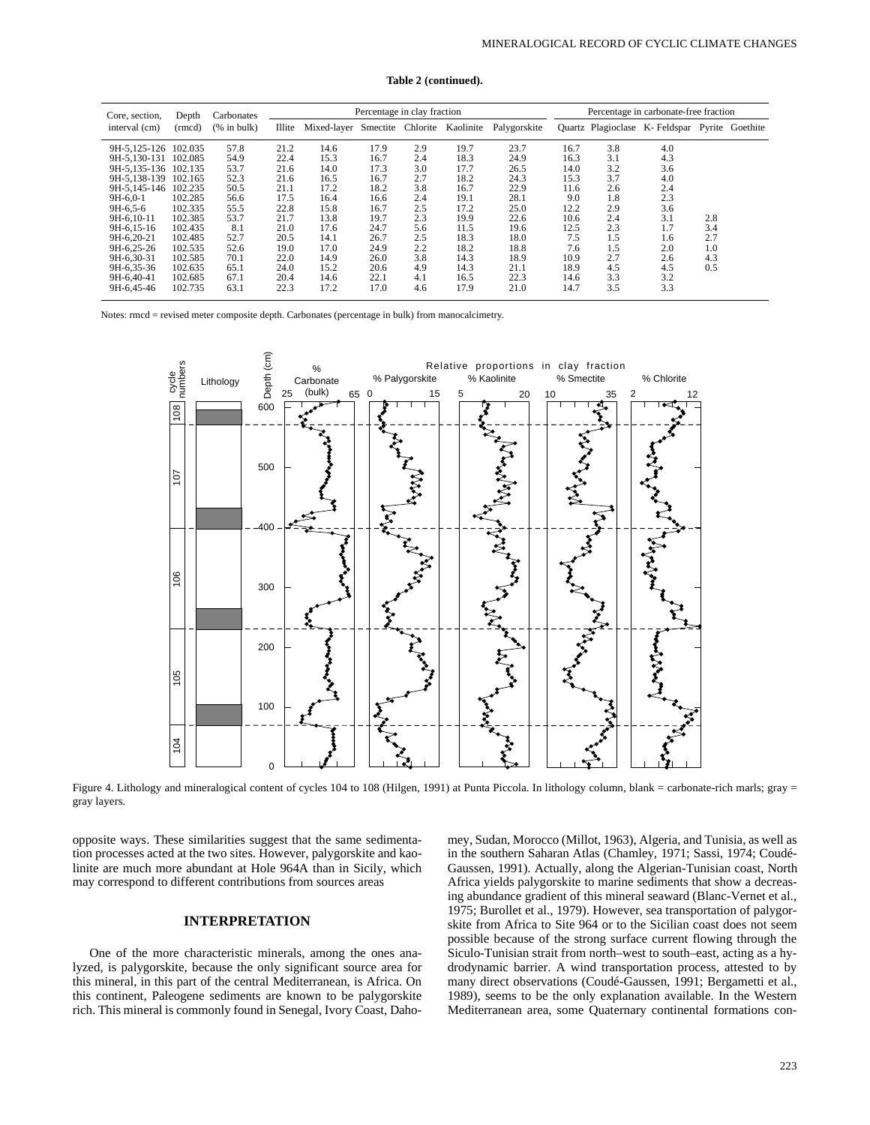|  | Table 2 (continued). |  |
|--|----------------------|--|
|--|----------------------|--|

| Core, section.       | Depth   | Carbonates  | Percentage in clay fraction |                               |      |     |           |              |      | Percentage in carbonate-free fraction |            |     |                 |  |
|----------------------|---------|-------------|-----------------------------|-------------------------------|------|-----|-----------|--------------|------|---------------------------------------|------------|-----|-----------------|--|
| interval (cm)        | (rmcd)  | (% in bulk) | Illite                      | Mixed-layer Smectite Chlorite |      |     | Kaolinite | Palygorskite |      | <b>Ouartz</b> Plagioclase             | K-Feldspar |     | Pyrite Goethite |  |
| 9H-5.125-126 102.035 |         | 57.8        | 21.2                        | 14.6                          | 17.9 | 2.9 | 19.7      | 23.7         | 16.7 | 3.8                                   | 4.0        |     |                 |  |
| 9H-5.130-131 102.085 |         | 54.9        | 22.4                        | 15.3                          | 16.7 | 2.4 | 18.3      | 24.9         | 16.3 | 3.1                                   | 4.3        |     |                 |  |
| 9H-5.135-136 102.135 |         | 53.7        | 21.6                        | 14.0                          | 17.3 | 3.0 | 17.7      | 26.5         | 14.0 | 3.2                                   | 3.6        |     |                 |  |
| 9H-5.138-139 102.165 |         | 52.3        | 21.6                        | 16.5                          | 16.7 | 2.7 | 18.2      | 24.3         | 15.3 | 3.7                                   | 4.0        |     |                 |  |
| 9H-5.145-146         | 102.235 | 50.5        | 21.1                        | 17.2                          | 18.2 | 3.8 | 16.7      | 22.9         | 11.6 | 2.6                                   | 2.4        |     |                 |  |
| $9H-6.0-1$           | 102.285 | 56.6        | 17.5                        | 16.4                          | 16.6 | 2.4 | 19.1      | 28.1         | 9.0  | 1.8                                   | 2.3        |     |                 |  |
| $9H-6.5-6$           | 102.335 | 55.5        | 22.8                        | 15.8                          | 16.7 | 2.5 | 17.2      | 25.0         | 12.2 | 2.9                                   | 3.6        |     |                 |  |
| 9H-6.10-11           | 102.385 | 53.7        | 21.7                        | 13.8                          | 19.7 | 2.3 | 19.9      | 22.6         | 10.6 | 2.4                                   | 3.1        | 2.8 |                 |  |
| 9H-6.15-16           | 102.435 | 8.1         | 21.0                        | 17.6                          | 24.7 | 5.6 | 11.5      | 19.6         | 12.5 | 2.3                                   | 1.7        | 3.4 |                 |  |
| 9H-6.20-21           | 102.485 | 52.7        | 20.5                        | 14.1                          | 26.7 | 2.5 | 18.3      | 18.0         | 7.5  | 1.5                                   | 1.6        | 2.7 |                 |  |
| 9H-6.25-26           | 102.535 | 52.6        | 19.0                        | 17.0                          | 24.9 | 2.2 | 18.2      | 18.8         | 7.6  | 1.5                                   | 2.0        | 1.0 |                 |  |
| 9H-6.30-31           | 102.585 | 70.1        | 22.0                        | 14.9                          | 26.0 | 3.8 | 14.3      | 18.9         | 10.9 | 2.7                                   | 2.6        | 4.3 |                 |  |
| 9H-6.35-36           | 102.635 | 65.1        | 24.0                        | 15.2                          | 20.6 | 4.9 | 14.3      | 21.1         | 18.9 | 4.5                                   | 4.5        | 0.5 |                 |  |
| 9H-6.40-41           | 102.685 | 67.1        | 20.4                        | 14.6                          | 22.1 | 4.1 | 16.5      | 22.3         | 14.6 | 3.3                                   | 3.2        |     |                 |  |
| 9H-6.45-46           | 102.735 | 63.1        | 22.3                        | 17.2                          | 17.0 | 4.6 | 17.9      | 21.0         | 14.7 | 3.5                                   | 3.3        |     |                 |  |

Notes: rmcd = revised meter composite depth. Carbonates (percentage in bulk) from manocalcimetry.



Figure 4. Lithology and mineralogical content of cycles 104 to 108 (Hilgen, 1991) at Punta Piccola. In lithology column, blank = carbonate-rich marls; gray = gray layers.

opposite ways. These similarities suggest that the same sedimentation processes acted at the two sites. However, palygorskite and kaolinite are much more abundant at Hole 964A than in Sicily, which may correspond to different contributions from sources areas

# **INTERPRETATION**

One of the more characteristic minerals, among the ones analyzed, is palygorskite, because the only significant source area for this mineral, in this part of the central Mediterranean, is Africa. On this continent, Paleogene sediments are known to be palygorskite rich. This mineral is commonly found in Senegal, Ivory Coast, Dahomey, Sudan, Morocco (Millot, 1963), Algeria, and Tunisia, as well as in the southern Saharan Atlas (Chamley, 1971; Sassi, 1974; Coudé-Gaussen, 1991). Actually, along the Algerian-Tunisian coast, North Africa yields palygorskite to marine sediments that show a decreasing abundance gradient of this mineral seaward (Blanc-Vernet et al., 1975; Burollet et al., 1979). However, sea transportation of palygorskite from Africa to Site 964 or to the Sicilian coast does not seem possible because of the strong surface current flowing through the Siculo-Tunisian strait from north–west to south–east, acting as a hydrodynamic barrier. A wind transportation process, attested to by many direct observations (Coudé-Gaussen, 1991; Bergametti et al., 1989), seems to be the only explanation available. In the Western Mediterranean area, some Quaternary continental formations con-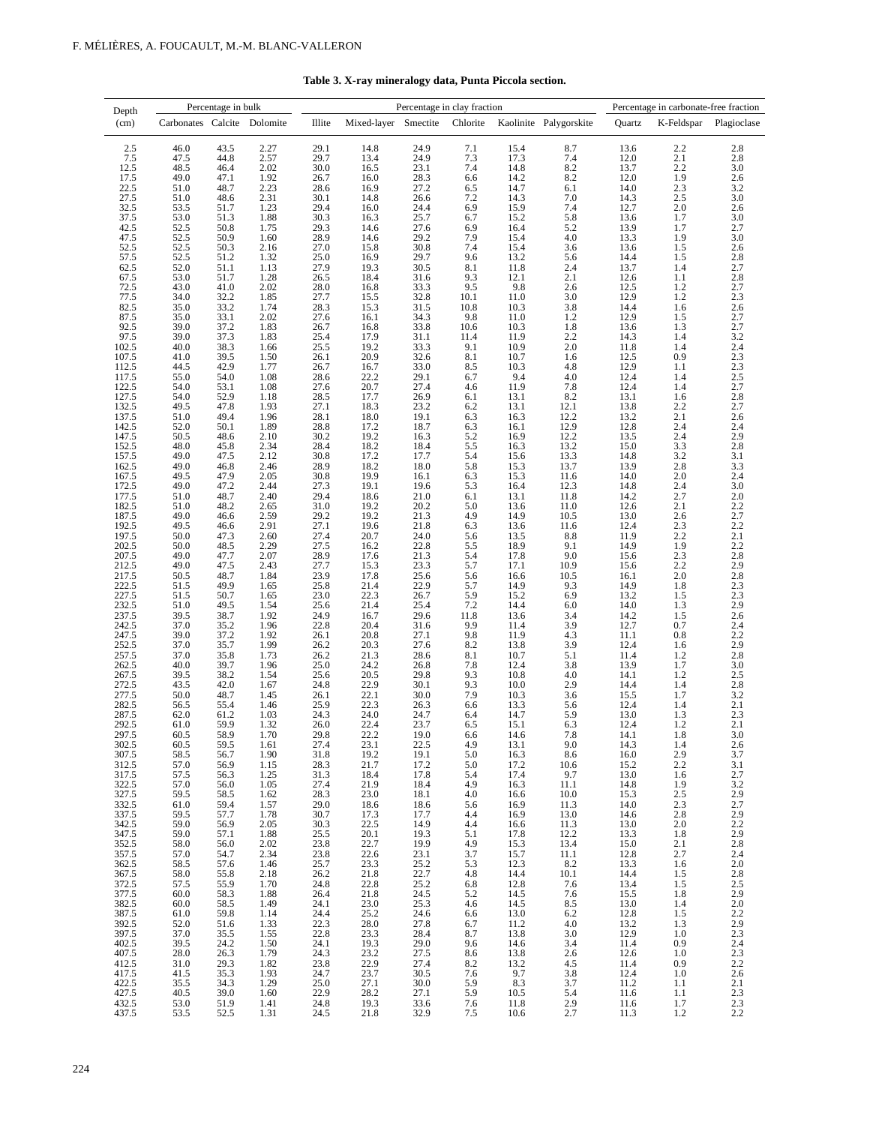|  | Table 3. X-ray mineralogy data, Punta Piccola section. |
|--|--------------------------------------------------------|
|--|--------------------------------------------------------|

| Depth                                                           | Percentage in bulk          |              |              |                            |                             | Percentage in clay fraction |              |                   | Percentage in carbonate-free fraction |                                                     |                              |                          |
|-----------------------------------------------------------------|-----------------------------|--------------|--------------|----------------------------|-----------------------------|-----------------------------|--------------|-------------------|---------------------------------------|-----------------------------------------------------|------------------------------|--------------------------|
| (cm)                                                            | Carbonates Calcite Dolomite |              |              | Illite                     | Mixed-layer Smectite        |                             | Chlorite     |                   | Kaolinite Palygorskite                | Quartz                                              | K-Feldspar                   | Plagioclase              |
| 2.5                                                             | 46.0                        | 43.5         | 2.27         | 29.1                       | 14.8                        | 24.9                        | 7.1          | 15.4              | 8.7                                   | 13.6                                                | 2.2                          | 2.8                      |
| 7.5<br>12.5                                                     | 47.5<br>48.5                | 44.8<br>46.4 | 2.57<br>2.02 | 29.7<br>30.0               | 13.4<br>16.5                | 24.9<br>23.1                | 7.3<br>7.4   | 17.3<br>14.8      | 7.4                                   | 12.0<br>13.7                                        | 2.1<br>2.2                   | $2.8\,$<br>3.0           |
| 17.5                                                            | 49.0                        | 47.1         | 1.92         | 26.7                       | 16.0                        | 28.3                        | 6.6          | 14.2              | $8.2$<br>$8.2$                        | 12.0                                                | 1.9                          | 2.6                      |
| 22.5                                                            | 51.0                        | 48.7         | 2.23         | 28.6                       | 16.9                        | 27.2                        | 6.5          | 14.7              | 6.1                                   | 14.0                                                | 2.3                          | 3.2                      |
| 27.5<br>32.5                                                    | 51.0<br>53.5                | 48.6<br>51.7 | 2.31<br>1.23 | 30.1<br>29.4               | 14.8<br>16.0                | 26.6<br>24.4                | 7.2<br>6.9   | 14.3<br>15.9      | 7.0<br>7.4                            | 14.3<br>12.7                                        | 2.5<br>2.0                   | $\frac{3.0}{2.6}$<br>3.0 |
| 37.5                                                            | 53.0                        | 51.3         | 1.88         | 30.3                       | 16.3                        | 25.7                        | 6.7          | 15.2              | 5.8                                   | 13.6                                                | 1.7                          |                          |
| 42.5<br>47.5                                                    | 52.5<br>52.5                | 50.8<br>50.9 | 1.75<br>1.60 | 29.3<br>28.9               | 14.6<br>14.6                | 27.6<br>29.2                | 6.9<br>7.9   | 16.4<br>15.4      | $5.2$<br>4.0                          | 13.9<br>13.3                                        | 1.7<br>1.9                   | 2.7<br>3.0               |
| 52.5                                                            | 52.5                        | 50.3         | 2.16         | 27.0                       | 15.8                        | 30.8                        | 7.4          | 15.4              | 3.6                                   | 13.6                                                | 1.5                          | 2.6                      |
| 57.5<br>62.5                                                    | 52.5<br>52.0                | 51.2         | 1.32         | 25.0<br>27.9               | 16.9<br>19.3                | 29.7<br>30.5                | 9.6<br>8.1   | 13.2<br>11.8      | 5.6<br>2.4                            | 14.4<br>13.7                                        | 1.5<br>1.4                   | $\frac{2.8}{2.7}$        |
| 67.5                                                            | 53.0                        | 51.1<br>51.7 | 1.13<br>1.28 | 26.5                       | 18.4                        | 31.6                        | 9.3          | 12.1              | 2.1                                   | 12.6                                                | 1.1                          | 2.8                      |
| $72.5$<br>$77.5$                                                | 43.0                        | 41.0         | 2.02         | 28.0                       | 16.8                        | 33.3                        | 9.5          | 9.8               | 2.6                                   | 12.5                                                | 1.2                          | 2.7                      |
| 82.5                                                            | 34.0<br>35.0                | 32.2<br>33.2 | 1.85<br>1.74 | 27.7<br>28.3               | 15.5<br>15.3                | 32.8<br>31.5                | 10.1<br>10.8 | 11.0<br>10.3      | 3.0<br>3.8                            | 12.9<br>14.4                                        | 1.2<br>1.6                   | 2.3<br>2.6               |
| 87.5                                                            | 35.0                        | 33.1         | 2.02         | 27.6                       | 16.1                        | 34.3                        | 9.8          | 11.0              | 1.2                                   | 12.9                                                | 1.5                          | $2.7$<br>$2.7$           |
| 92.5<br>97.5                                                    | 39.0<br>39.0                | 37.2<br>37.3 | 1.83<br>1.83 | 26.7<br>25.4               | 16.8<br>17.9                | 33.8<br>31.1                | 10.6<br>11.4 | 10.3<br>11.9      | 1.8<br>2.2                            | 13.6<br>14.3                                        | 1.3<br>1.4                   | 3.2                      |
| 102.5                                                           | 40.0                        | 38.3         | 1.66         | 25.5                       | 19.2                        | 33.3                        | 9.1          | 10.9              | $2.0\,$                               | 11.8                                                | 1.4                          | 2.4                      |
| 107.5                                                           | 41.0                        | 39.5         | 1.50         | 26.1                       | 20.9                        | 32.6                        | 8.1          | 10.7              | 1.6                                   | 12.5                                                | 0.9                          | 2.3                      |
| 112.5<br>117.5                                                  | 44.5<br>55.0                | 42.9<br>54.0 | 1.77<br>1.08 | 26.7<br>28.6               | 16.7<br>22.2                | 33.0<br>29.1                | 8.5<br>6.7   | 10.3<br>9.4       | $4.8\,$<br>4.0                        | 12.9<br>12.4                                        | 1.1<br>1.4                   | $\overline{2.3}$         |
| 122.5                                                           | 54.0                        | 53.1         | 1.08         | 27.6                       | 20.7                        | 27.4                        | 4.6          | 11.9              | 7.8                                   | 12.4                                                | 1.4                          | $2.5$<br>$2.7$           |
| 127.5<br>132.5                                                  | 54.0<br>49.5                | 52.9<br>47.8 | 1.18<br>1.93 | 28.5<br>27.1               | 17.7<br>18.3                | 26.9<br>23.2                | 6.1<br>6.2   | 13.1<br>13.1      | 8.2<br>12.1                           | 13.1<br>13.8                                        | 1.6                          | 2.8<br>2.7               |
| 137.5                                                           | 51.0                        | 49.4         | 1.96         | 28.1                       | 18.0                        | 19.1                        | 6.3          | 16.3              | 12.2                                  | 13.2                                                | $\underset{2.1}{\text{2.2}}$ | $\frac{2.6}{2.4}$        |
| 142.5<br>147.5                                                  | 52.0<br>50.5                | 50.1<br>48.6 | 1.89<br>2.10 | 28.8<br>30.2               | 17.2                        | 18.7<br>16.3                | 6.3          | 16.1<br>16.9      | 12.9<br>12.2                          | 12.8<br>13.5                                        | 2.4                          |                          |
| 152.5                                                           | 48.0                        | 45.8         | 2.34         | 28.4                       | $\frac{19.2}{18.2}$         | 18.4                        | 5.2<br>5.5   | 16.3              | 13.2                                  | 15.0                                                | $^{2.4}_{3.3}$               | $2.9$<br>$2.8$<br>$3.1$  |
| 157.5                                                           | 49.0                        | 47.5         | 2.12         | 30.8                       | 17.2                        | 17.7                        | 5.4          | 15.6              | 13.3                                  | 14.8                                                | 3.2                          |                          |
| $162.5$<br>$167.5$                                              | 49.0<br>49.5                | 46.8<br>47.9 | 2.46<br>2.05 | 28.9<br>30.8               | 18.2<br>19.9                | 18.0<br>16.1                | 5.8<br>6.3   | 15.3<br>15.3      | 13.7<br>11.6                          | 13.9<br>14.0                                        | $\overset{2.8}{_{2.0}}$      | $\frac{3.3}{2.4}$<br>3.0 |
| 172.5                                                           | 49.0                        | 47.2         | 2.44         | 27.3                       | 19.1                        | 19.6                        | 5.3          | 16.4              | 12.3                                  | 14.8                                                | 2.4                          |                          |
| 177.5<br>182.5                                                  | 51.0<br>51.0                | 48.7<br>48.2 | 2.40<br>2.65 | 29.4<br>31.0               | 18.6<br>19.2                | 21.0<br>20.2                | 6.1<br>5.0   | 13.1<br>13.6      | 11.8<br>11.0                          | 14.2<br>12.6                                        | $^{2.7}_{2.1}$               | $^{2.0}_{2.2}$           |
| 187.5                                                           | 49.0                        | 46.6         | 2.59         | 29.2                       | 19.2                        | 21.3                        | 4.9          | 14.9              | 10.5                                  | 13.0                                                | 2.6                          | $\overline{2.7}$         |
| 192.5<br>197.5                                                  | 49.5<br>50.0                | 46.6<br>47.3 | 2.91<br>2.60 | 27.1<br>27.4               | 19.6<br>20.7                | 21.8<br>24.0                | 6.3<br>5.6   | 13.6<br>13.5      | 11.6<br>8.8                           | 12.4<br>11.9                                        | $2.\overline{3}$<br>2.2      | $^{2.2}_{2.1}$           |
| 202.5                                                           | 50.0                        | 48.5         | 2.29         | 27.5                       | 16.2                        | 22.8                        | 5.5          | 18.9              | 9.1                                   | 14.9                                                | 1.9                          | $\overline{2.2}$         |
| 207.5                                                           | 49.0                        | 47.7         | 2.07         | 28.9                       | 17.6                        | 21.3                        | 5.4          | 17.8              | $\frac{9.0}{10.9}$                    | 15.6                                                | $2.3$<br>$2.2$               | $\frac{2.8}{2.9}$<br>2.8 |
| 212.5<br>217.5                                                  | 49.0<br>50.5                | 47.5<br>48.7 | 2.43<br>1.84 | 27.7<br>23.9               | 15.3<br>17.8                | 23.3<br>25.6                | 5.7<br>5.6   | 17.1<br>16.6      | 10.5                                  | 15.6<br>16.1                                        | $2.0\,$                      |                          |
| $222.5$<br>$227.5$                                              | 51.5                        | 49.9         | 1.65         | $\substack{25.8 \\ 23.0}$  | 21.4                        | $^{22.9}_{26.7}$            | 5.7          | 14.9              | $^{9.3}_{6.9}$                        | 14.9                                                | $1.8\,$                      | $2.3$<br>$2.3$           |
| 232.5                                                           | 51.5<br>51.0                | 50.7<br>49.5 | 1.65<br>1.54 | 25.6                       | 22.3<br>21.4                | 25.4                        | 5.9<br>7.2   | 15.2<br>14.4      | 6.0                                   | 13.2<br>14.0                                        | 1.5<br>1.3                   | 2.9                      |
| 237.5                                                           | 39.5                        | 38.7         | 1.92         | 24.9                       | 16.7                        | 29.6                        | 11.8         | 13.6              | $3.4\,$                               | 14.2                                                | $1.5\,$                      | $\frac{2.6}{2.4}$        |
| 242.5<br>247.5                                                  | 37.0<br>39.0                | 35.2<br>37.2 | 1.96<br>1.92 | 22.8<br>26.1               | 20.4<br>20.8                | 31.6<br>27.1                | 9.9<br>9.8   | 11.4<br>11.9      | 3.9<br>4.3                            | 12.7<br>11.1                                        | 0.7<br>$0.8\,$               | 2.2                      |
| 252.5                                                           | 37.0                        | 35.7         | 1.99         | 26.2                       | 20.3                        | 27.6                        | 8.2          | 13.8              | 3.9                                   | 12.4                                                | 1.6                          |                          |
| 257.5                                                           | 37.0                        | 35.8         | 1.73         | 26.2                       | 21.3                        | 28.6                        | 8.1          | 10.7              | 5.1                                   | 11.4                                                | 1.2                          | $\frac{2.9}{2.8}$<br>3.0 |
| 262.5<br>267.5                                                  | 40.0<br>39.5                | 39.7<br>38.2 | 1.96<br>1.54 | 25.0<br>25.6               | 24.2                        | 26.8<br>29.8                | 7.8<br>9.3   | 12.4<br>10.8      | 3.8<br>4.0                            | 13.9<br>14.1                                        | 1.7<br>$1.2\,$               |                          |
| 272.5                                                           | 43.5                        | 42.0         | 1.67         | 24.8                       | $\frac{20.5}{22.9}$         | 30.1                        | 9.3          | 10.0              | 2.9                                   | 14.4                                                | 1.4                          | $2.5$<br>$2.8$<br>$3.2$  |
| 277.5<br>282.5                                                  | 50.0<br>56.5                | 48.7<br>55.4 | 1.45<br>1.46 | 26.1<br>25.9               | $\frac{22.1}{22.3}$         | $30.0\,$<br>26.3            | 7.9<br>6.6   | 10.3<br>13.3      | 3.6<br>5.6                            | 15.5<br>12.4                                        | 1.7<br>1.4                   | $2.1\,$                  |
| 287.5                                                           | 62.0                        | 61.2         | 1.03         | 24.3                       | 24.0                        | 24.7                        | 6.4          | 14.7              | 5.9                                   | 13.0                                                | 1.3                          | 2.3                      |
| 292.5<br>297.5                                                  | 61.0<br>60.5                | 59.9<br>58.9 | 1.32<br>1.70 | 26.0<br>29.8               | 22.4<br>22.2                | 23.7<br>19.0                | 6.5<br>6.6   | 15.1<br>14.6      | 6.3<br>7.8                            | 12.4<br>14.1                                        | 1.2<br>1.8                   | 2.1<br>3.0               |
| 302.5<br>307.5                                                  | 60.5                        | 59.5         | 1.61         | 27.4                       | 23.1                        | 22.5                        | 4.9          | 13.1              | 9.0                                   | 14.3                                                | 1.4                          | 2.6                      |
|                                                                 | 58.5<br>57.0                | 56.7<br>56.9 | 1.90<br>1.15 | 31.8<br>28.3               | 19.2<br>21.7                | 19.1<br>17.2                | 5.0<br>5.0   | 16.3<br>17.2      | 8.6<br>10.6                           | 16.0                                                | 2.9<br>$2.2\,$               | 3.7<br>3.1               |
| $\begin{array}{c} 307.5 \\ 312.5 \\ 317.5 \\ 322.5 \end{array}$ | 57.5                        | 56.3         | 1.25         | 31.3                       | 18.4                        | 17.8                        | 5.4          | 17.4              | 9.7                                   | $\frac{15.2}{13.0}$                                 | 1.6                          | 2.7                      |
| 327.5                                                           | 57.0<br>59.5                | 56.0<br>58.5 | 1.05<br>1.62 | 27.4                       | 21.9                        | 18.4<br>18.1                | 4.9<br>4.0   | 16.3<br>16.6      | 11.1<br>$10.0\,$                      | 14.8<br>15.3                                        | 1.9                          | 3.2                      |
| 332.5                                                           | 61.0                        | 59.4         | 1.57         | $28.3$<br>$29.0$<br>$30.7$ | $\frac{23.0}{18.6}$         | 18.6                        | 5.6          | 16.9              | 11.3                                  | 14.0                                                | $2.5$<br>$2.3$<br>$2.8$      | $^{2.9}_{2.7}$           |
| 337.5                                                           | 59.5                        | 57.7         | 1.78         |                            | 17.3                        | 17.7                        | 4.4          | 16.9              | 13.0                                  | 14.6                                                |                              | 2.9                      |
| $\begin{array}{c} 342.5 \\ 347.5 \\ 352.5 \end{array}$          | 59.0<br>59.0                | 56.9<br>57.1 | 2.05<br>1.88 | $30.3$<br>$25.5$           | $\frac{22.5}{20.1}$         | 14.9                        | 4.4<br>5.1   | 16.6<br>17.8      | $\frac{11.3}{12.2}$                   | $\frac{13.0}{13.3}$<br>15.0                         | $2.0\,$<br>1.8               | $2.2$<br>2.9             |
|                                                                 | 58.0                        | 56.0         | 2.02         | 23.8                       | 22.7                        | $\frac{19.3}{19.9}$         | 4.9          | 15.3              | 13.4                                  |                                                     | 2.1                          | 2.8                      |
| 357.5<br>362.5                                                  | 57.0<br>58.5                | 54.7<br>57.6 | 2.34<br>1.46 | $23.8$<br>$25.7$           | $22.6$<br>$23.3$            | 23.1<br>25.2                | 3.7<br>5.3   | 15.7<br>12.3      | $11.1\,$<br>8.2                       | $\frac{12.8}{13.3}$<br>14.4                         | 2.7<br>1.6                   | 2.4<br>2.0               |
| 367.5                                                           | 58.0                        | 55.8         | 2.18         | 26.2                       | 21.8                        | 22.7                        | 4.8          | 14.4              | $10.1\,$                              |                                                     | 1.5                          | 2.8                      |
|                                                                 | 57.5<br>60.0                | 55.9<br>58.3 | 1.70<br>1.88 | 24.8<br>26.4               | $\frac{22.8}{21.8}$         | $\frac{25.2}{24.5}$         | 6.8<br>5.2   | 12.8<br>14.5      | 7.6<br>7.6                            | 13.4                                                | $1.5\,$<br>1.8               | $2.5$<br>$2.9$<br>$2.0$  |
| 372.5<br>377.5<br>382.5                                         | 60.0                        | 58.5         | 1.49         | 24.1                       | 23.0                        | 25.3                        | 4.6          | 14.5              | 8.5                                   | $\frac{15.5}{13.0}$                                 | 1.4                          |                          |
| 387.5                                                           | 61.0                        | 59.8         | 1.14         | $24.4$<br>$22.3$<br>$22.8$ | $\frac{25.2}{28.0}$<br>23.3 | 24.6                        | 6.6          | 13.0              | 6.2                                   | $\begin{array}{c} 12.8 \\ 13.2 \\ 12.9 \end{array}$ | $1.5\,$                      | $2.2$<br>2.9<br>2.3      |
| 392.5<br>397.5                                                  | 52.0<br>37.0                | 51.6<br>35.5 | 1.33<br>1.55 |                            |                             | 27.8<br>28.4                | 6.7<br>8.7   | 11.2<br>13.8      | 4.0<br>$3.0\,$                        |                                                     | 1.3<br>1.0                   |                          |
|                                                                 | 39.5                        | 24.2         | 1.50         | 24.1                       | $\frac{19.3}{23.2}$         | $\frac{29.0}{27.5}$         | 9.6          | 14.6              | $3.4\,$                               | 11.4                                                | 0.9                          |                          |
| $\begin{array}{c} 402.5 \\ 407.5 \\ 412.5 \end{array}$          | 28.0<br>31.0                | 26.3<br>29.3 | 1.79<br>1.82 | 24.3<br>23.8               | 22.9                        | 27.4                        | 8.6<br>8.2   | 13.8<br>13.2      | 2.6<br>4.5                            | 12.6<br>11.4                                        | 1.0<br>0.9                   | $2.4$<br>$2.3$<br>$2.2$  |
| 417.5                                                           | 41.5                        | 35.3         | 1.93         | 24.7                       | 23.7                        | 30.5                        | 7.6          |                   | 3.8                                   | 12.4                                                | 1.0                          | $2.6\,$                  |
| 422.5                                                           | 35.5                        | 34.3         | 1.29         | 25.0                       | 27.1                        | 30.0                        | 5.9          | $\frac{9.7}{8.3}$ | 3.7                                   | 11.2                                                | 1.1                          | 2.1                      |
| 427.5                                                           | 40.5<br>53.0                | 39.0<br>51.9 | 1.60<br>1.41 | 22.9<br>24.8               | 28.2<br>19.3                | 27.1<br>33.6                | 5.9<br>7.6   | 10.5<br>11.8      | 5.4                                   | 11.6<br>11.6                                        | 1.1<br>1.7                   | 2.3<br>2.3               |
| 432.5<br>437.5                                                  | 53.5                        | 52.5         | 1.31         | 24.5                       | 21.8                        | 32.9                        | $7.5\,$      | 10.6              | $^{2.9}_{2.7}$                        | 11.3                                                | 1.2                          | 2.2                      |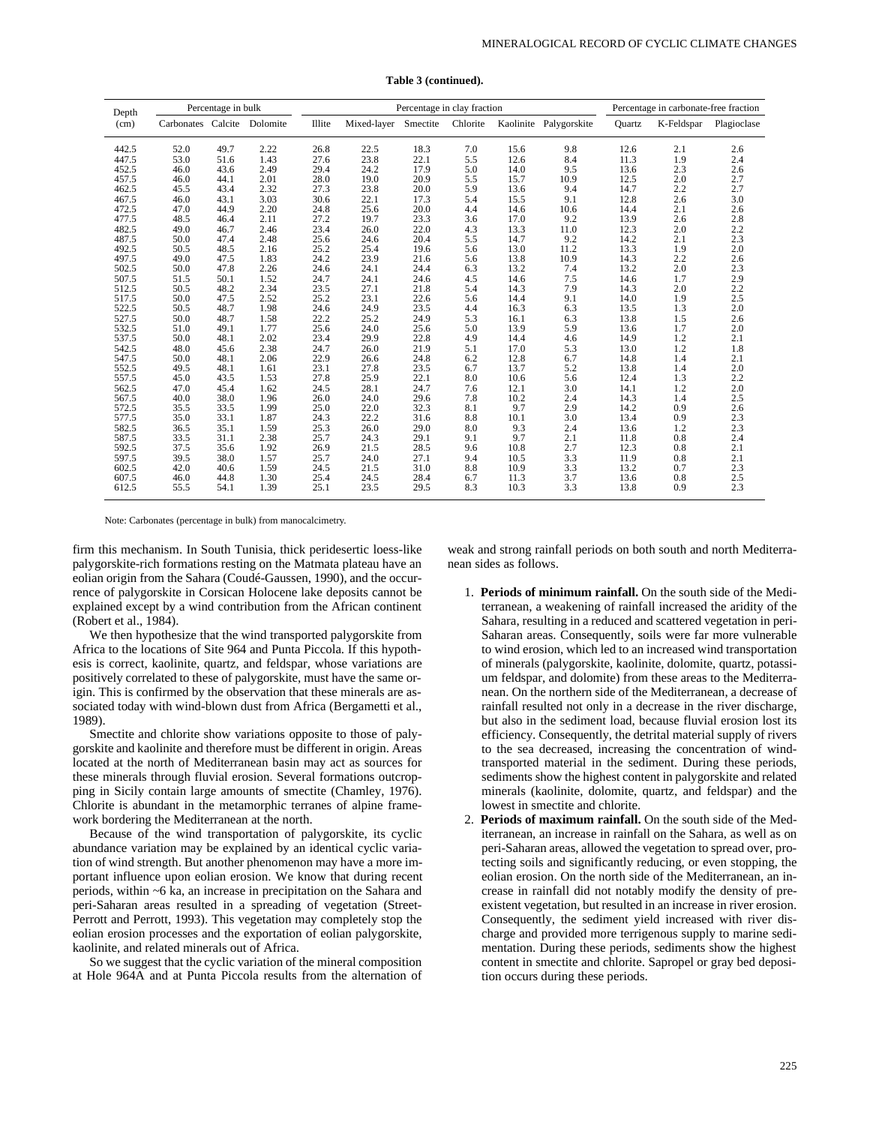| Depth | Percentage in bulk          |      |      |        |             | Percentage in clay fraction |          | Percentage in carbonate-free fraction |                        |               |            |             |
|-------|-----------------------------|------|------|--------|-------------|-----------------------------|----------|---------------------------------------|------------------------|---------------|------------|-------------|
| (cm)  | Carbonates Calcite Dolomite |      |      | Illite | Mixed-layer | Smectite                    | Chlorite |                                       | Kaolinite Palygorskite | <b>Quartz</b> | K-Feldspar | Plagioclase |
| 442.5 | 52.0                        | 49.7 | 2.22 | 26.8   | 22.5        | 18.3                        | 7.0      | 15.6                                  | 9.8                    | 12.6          | 2.1        | 2.6         |
| 447.5 | 53.0                        | 51.6 | 1.43 | 27.6   | 23.8        | 22.1                        | 5.5      | 12.6                                  | 8.4                    | 11.3          | 1.9        | 2.4         |
| 452.5 | 46.0                        | 43.6 | 2.49 | 29.4   | 24.2        | 17.9                        | 5.0      | 14.0                                  | 9.5                    | 13.6          | 2.3        | 2.6         |
| 457.5 | 46.0                        | 44.1 | 2.01 | 28.0   | 19.0        | 20.9                        | 5.5      | 15.7                                  | 10.9                   | 12.5          | 2.0        | 2.7         |
| 462.5 | 45.5                        | 43.4 | 2.32 | 27.3   | 23.8        | 20.0                        | 5.9      | 13.6                                  | 9.4                    | 14.7          | 2.2        | 2.7         |
| 467.5 | 46.0                        | 43.1 | 3.03 | 30.6   | 22.1        | 17.3                        | 5.4      | 15.5                                  | 9.1                    | 12.8          | 2.6        | 3.0         |
| 472.5 | 47.0                        | 44.9 | 2.20 | 24.8   | 25.6        | 20.0                        | 4.4      | 14.6                                  | 10.6                   | 14.4          | 2.1        | 2.6         |
| 477.5 | 48.5                        | 46.4 | 2.11 | 27.2   | 19.7        | 23.3                        | 3.6      | 17.0                                  | 9.2                    | 13.9          | 2.6        | 2.8         |
| 482.5 | 49.0                        | 46.7 | 2.46 | 23.4   | 26.0        | 22.0                        | 4.3      | 13.3                                  | 11.0                   | 12.3          | 2.0        | 2.2         |
| 487.5 | 50.0                        | 47.4 | 2.48 | 25.6   | 24.6        | 20.4                        | 5.5      | 14.7                                  | 9.2                    | 14.2          | 2.1        | 2.3         |
| 492.5 | 50.5                        | 48.5 | 2.16 | 25.2   | 25.4        | 19.6                        | 5.6      | 13.0                                  | 11.2                   | 13.3          | 1.9        | 2.0         |
| 497.5 | 49.0                        | 47.5 | 1.83 | 24.2   | 23.9        | 21.6                        | 5.6      | 13.8                                  | 10.9                   | 14.3          | 2.2        | 2.6         |
| 502.5 | 50.0                        | 47.8 | 2.26 | 24.6   | 24.1        | 24.4                        | 6.3      | 13.2                                  | 7.4                    | 13.2          | 2.0        | 2.3         |
| 507.5 | 51.5                        | 50.1 | 1.52 | 24.7   | 24.1        | 24.6                        | 4.5      | 14.6                                  | 7.5                    | 14.6          | 1.7        | 2.9         |
| 512.5 | 50.5                        | 48.2 | 2.34 | 23.5   | 27.1        | 21.8                        | 5.4      | 14.3                                  | 7.9                    | 14.3          | 2.0        | 2.2         |
| 517.5 | 50.0                        | 47.5 | 2.52 | 25.2   | 23.1        | 22.6                        | 5.6      | 14.4                                  | 9.1                    | 14.0          | 1.9        | 2.5         |
| 522.5 | 50.5                        | 48.7 | 1.98 | 24.6   | 24.9        | 23.5                        | 4.4      | 16.3                                  | 6.3                    | 13.5          | 1.3        | 2.0         |
| 527.5 | 50.0                        | 48.7 | 1.58 | 22.2   | 25.2        | 24.9                        | 5.3      | 16.1                                  | 6.3                    | 13.8          | 1.5        | 2.6         |
| 532.5 | 51.0                        | 49.1 | 1.77 | 25.6   | 24.0        | 25.6                        | 5.0      | 13.9                                  | 5.9                    | 13.6          | 1.7        | 2.0         |
| 537.5 | 50.0                        | 48.1 | 2.02 | 23.4   | 29.9        | 22.8                        | 4.9      | 14.4                                  | 4.6                    | 14.9          | 1.2        | 2.1         |
| 542.5 | 48.0                        | 45.6 | 2.38 | 24.7   | 26.0        | 21.9                        | 5.1      | 17.0                                  | 5.3                    | 13.0          | 1.2        | 1.8         |
| 547.5 | 50.0                        | 48.1 | 2.06 | 22.9   | 26.6        | 24.8                        | 6.2      | 12.8                                  | 6.7                    | 14.8          | 1.4        | 2.1         |
| 552.5 | 49.5                        | 48.1 | 1.61 | 23.1   | 27.8        | 23.5                        | 6.7      | 13.7                                  | 5.2                    | 13.8          | 1.4        | 2.0         |
| 557.5 | 45.0                        | 43.5 | 1.53 | 27.8   | 25.9        | 22.1                        | 8.0      | 10.6                                  | 5.6                    | 12.4          | 1.3        | 2.2         |
| 562.5 | 47.0                        | 45.4 | 1.62 | 24.5   | 28.1        | 24.7                        | 7.6      | 12.1                                  | 3.0                    | 14.1          | 1.2        | 2.0         |
| 567.5 | 40.0                        | 38.0 | 1.96 | 26.0   | 24.0        | 29.6                        | 7.8      | 10.2                                  | 2.4                    | 14.3          | 1.4        | 2.5         |
| 572.5 | 35.5                        | 33.5 | 1.99 | 25.0   | 22.0        | 32.3                        | 8.1      | 9.7                                   | 2.9                    | 14.2          | 0.9        | 2.6         |
| 577.5 | 35.0                        | 33.1 | 1.87 | 24.3   | 22.2        | 31.6                        | 8.8      | 10.1                                  | 3.0                    | 13.4          | 0.9        | 2.3         |
| 582.5 | 36.5                        | 35.1 | 1.59 | 25.3   | 26.0        | 29.0                        | 8.0      | 9.3                                   | 2.4                    | 13.6          | 1.2        | 2.3         |
| 587.5 | 33.5                        | 31.1 | 2.38 | 25.7   | 24.3        | 29.1                        | 9.1      | 9.7                                   | 2.1                    | 11.8          | 0.8        | 2.4         |
| 592.5 | 37.5                        | 35.6 | 1.92 | 26.9   | 21.5        | 28.5                        | 9.6      | 10.8                                  | 2.7                    | 12.3          | 0.8        | 2.1         |
| 597.5 | 39.5                        | 38.0 | 1.57 | 25.7   | 24.0        | 27.1                        | 9.4      | 10.5                                  | 3.3                    | 11.9          | 0.8        | 2.1         |
| 602.5 | 42.0                        | 40.6 | 1.59 | 24.5   | 21.5        | 31.0                        | 8.8      | 10.9                                  | 3.3                    | 13.2          | 0.7        | 2.3         |
| 607.5 | 46.0                        | 44.8 | 1.30 | 25.4   | 24.5        | 28.4                        | 6.7      | 11.3                                  | 3.7                    | 13.6          | 0.8        | 2.5         |
| 612.5 | 55.5                        | 54.1 | 1.39 | 25.1   | 23.5        | 29.5                        | 8.3      | 10.3                                  | 3.3                    | 13.8          | 0.9        | 2.3         |

**Table 3 (continued).**

Note: Carbonates (percentage in bulk) from manocalcimetry.

firm this mechanism. In South Tunisia, thick peridesertic loess-like palygorskite-rich formations resting on the Matmata plateau have an eolian origin from the Sahara (Coudé-Gaussen, 1990), and the occurrence of palygorskite in Corsican Holocene lake deposits cannot be explained except by a wind contribution from the African continent (Robert et al., 1984).

We then hypothesize that the wind transported palygorskite from Africa to the locations of Site 964 and Punta Piccola. If this hypothesis is correct, kaolinite, quartz, and feldspar, whose variations are positively correlated to these of palygorskite, must have the same origin. This is confirmed by the observation that these minerals are associated today with wind-blown dust from Africa (Bergametti et al., 1989).

Smectite and chlorite show variations opposite to those of palygorskite and kaolinite and therefore must be different in origin. Areas located at the north of Mediterranean basin may act as sources for these minerals through fluvial erosion. Several formations outcropping in Sicily contain large amounts of smectite (Chamley, 1976). Chlorite is abundant in the metamorphic terranes of alpine framework bordering the Mediterranean at the north.

Because of the wind transportation of palygorskite, its cyclic abundance variation may be explained by an identical cyclic variation of wind strength. But another phenomenon may have a more important influence upon eolian erosion. We know that during recent periods, within ~6 ka, an increase in precipitation on the Sahara and peri-Saharan areas resulted in a spreading of vegetation (Street-Perrott and Perrott, 1993). This vegetation may completely stop the eolian erosion processes and the exportation of eolian palygorskite, kaolinite, and related minerals out of Africa.

So we suggest that the cyclic variation of the mineral composition at Hole 964A and at Punta Piccola results from the alternation of weak and strong rainfall periods on both south and north Mediterranean sides as follows.

- 1. **Periods of minimum rainfall.** On the south side of the Mediterranean, a weakening of rainfall increased the aridity of the Sahara, resulting in a reduced and scattered vegetation in peri-Saharan areas. Consequently, soils were far more vulnerable to wind erosion, which led to an increased wind transportation of minerals (palygorskite, kaolinite, dolomite, quartz, potassium feldspar, and dolomite) from these areas to the Mediterranean. On the northern side of the Mediterranean, a decrease of rainfall resulted not only in a decrease in the river discharge, but also in the sediment load, because fluvial erosion lost its efficiency. Consequently, the detrital material supply of rivers to the sea decreased, increasing the concentration of windtransported material in the sediment. During these periods, sediments show the highest content in palygorskite and related minerals (kaolinite, dolomite, quartz, and feldspar) and the lowest in smectite and chlorite.
- 2. **Periods of maximum rainfall.** On the south side of the Mediterranean, an increase in rainfall on the Sahara, as well as on peri-Saharan areas, allowed the vegetation to spread over, protecting soils and significantly reducing, or even stopping, the eolian erosion. On the north side of the Mediterranean, an increase in rainfall did not notably modify the density of preexistent vegetation, but resulted in an increase in river erosion. Consequently, the sediment yield increased with river discharge and provided more terrigenous supply to marine sedimentation. During these periods, sediments show the highest content in smectite and chlorite. Sapropel or gray bed deposition occurs during these periods.